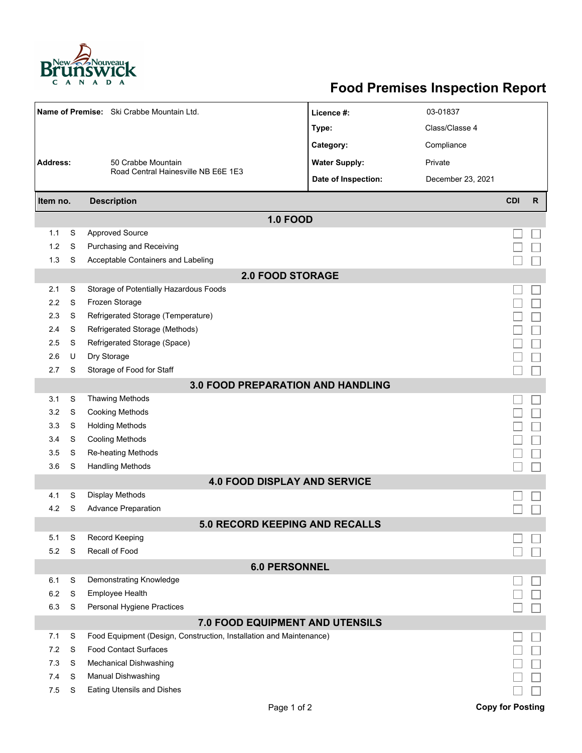

## **Food Premises Inspection Report**

| Name of Premise: Ski Crabbe Mountain Ltd. |   |                                                                     | Licence #:                          | 03-01837          |                         |   |  |  |  |  |  |  |
|-------------------------------------------|---|---------------------------------------------------------------------|-------------------------------------|-------------------|-------------------------|---|--|--|--|--|--|--|
|                                           |   |                                                                     | Type:                               | Class/Classe 4    |                         |   |  |  |  |  |  |  |
|                                           |   |                                                                     | Category:                           | Compliance        |                         |   |  |  |  |  |  |  |
| <b>Address:</b><br>50 Crabbe Mountain     |   |                                                                     | <b>Water Supply:</b>                | Private           |                         |   |  |  |  |  |  |  |
|                                           |   | Road Central Hainesville NB E6E 1E3                                 | Date of Inspection:                 | December 23, 2021 |                         |   |  |  |  |  |  |  |
|                                           |   |                                                                     |                                     |                   |                         |   |  |  |  |  |  |  |
| Item no.                                  |   | <b>Description</b>                                                  |                                     |                   | <b>CDI</b>              | R |  |  |  |  |  |  |
|                                           |   |                                                                     | <b>1.0 FOOD</b>                     |                   |                         |   |  |  |  |  |  |  |
| 1.1                                       | S | <b>Approved Source</b>                                              |                                     |                   |                         |   |  |  |  |  |  |  |
| 1.2                                       | S | Purchasing and Receiving                                            |                                     |                   |                         |   |  |  |  |  |  |  |
| 1.3                                       | S | Acceptable Containers and Labeling                                  |                                     |                   |                         |   |  |  |  |  |  |  |
| <b>2.0 FOOD STORAGE</b>                   |   |                                                                     |                                     |                   |                         |   |  |  |  |  |  |  |
| 2.1                                       | S | Storage of Potentially Hazardous Foods                              |                                     |                   |                         |   |  |  |  |  |  |  |
| 2.2                                       | S | Frozen Storage                                                      |                                     |                   |                         |   |  |  |  |  |  |  |
| 2.3                                       | S | Refrigerated Storage (Temperature)                                  |                                     |                   |                         |   |  |  |  |  |  |  |
| 2.4                                       | S | Refrigerated Storage (Methods)                                      |                                     |                   |                         |   |  |  |  |  |  |  |
| 2.5                                       | S | Refrigerated Storage (Space)                                        |                                     |                   |                         |   |  |  |  |  |  |  |
| 2.6                                       | U | Dry Storage                                                         |                                     |                   |                         |   |  |  |  |  |  |  |
| 2.7                                       | S | Storage of Food for Staff                                           |                                     |                   |                         |   |  |  |  |  |  |  |
| 3.0 FOOD PREPARATION AND HANDLING         |   |                                                                     |                                     |                   |                         |   |  |  |  |  |  |  |
| 3.1                                       | S | <b>Thawing Methods</b>                                              |                                     |                   |                         |   |  |  |  |  |  |  |
| 3.2                                       | S | <b>Cooking Methods</b>                                              |                                     |                   |                         |   |  |  |  |  |  |  |
| 3.3                                       | S | <b>Holding Methods</b>                                              |                                     |                   |                         |   |  |  |  |  |  |  |
| 3.4                                       | S | <b>Cooling Methods</b>                                              |                                     |                   |                         |   |  |  |  |  |  |  |
| 3.5                                       | S | Re-heating Methods                                                  |                                     |                   |                         |   |  |  |  |  |  |  |
| 3.6                                       | S | <b>Handling Methods</b>                                             |                                     |                   |                         |   |  |  |  |  |  |  |
|                                           |   |                                                                     | <b>4.0 FOOD DISPLAY AND SERVICE</b> |                   |                         |   |  |  |  |  |  |  |
| 4.1                                       | S | Display Methods                                                     |                                     |                   |                         |   |  |  |  |  |  |  |
| 4.2                                       | S | <b>Advance Preparation</b>                                          |                                     |                   |                         |   |  |  |  |  |  |  |
|                                           |   |                                                                     | 5.0 RECORD KEEPING AND RECALLS      |                   |                         |   |  |  |  |  |  |  |
| 5.1                                       | S | Record Keeping                                                      |                                     |                   |                         |   |  |  |  |  |  |  |
| 5.2                                       | S | Recall of Food                                                      |                                     |                   |                         |   |  |  |  |  |  |  |
|                                           |   |                                                                     | <b>6.0 PERSONNEL</b>                |                   |                         |   |  |  |  |  |  |  |
| 6.1                                       | S | Demonstrating Knowledge                                             |                                     |                   |                         |   |  |  |  |  |  |  |
| 6.2                                       | S | Employee Health                                                     |                                     |                   |                         |   |  |  |  |  |  |  |
| 6.3                                       | S | Personal Hygiene Practices                                          |                                     |                   |                         |   |  |  |  |  |  |  |
|                                           |   |                                                                     | 7.0 FOOD EQUIPMENT AND UTENSILS     |                   |                         |   |  |  |  |  |  |  |
| 7.1                                       | S | Food Equipment (Design, Construction, Installation and Maintenance) |                                     |                   |                         |   |  |  |  |  |  |  |
| 7.2                                       | S | <b>Food Contact Surfaces</b>                                        |                                     |                   |                         |   |  |  |  |  |  |  |
| 7.3                                       | S | <b>Mechanical Dishwashing</b>                                       |                                     |                   |                         |   |  |  |  |  |  |  |
| 7.4                                       | S | Manual Dishwashing                                                  |                                     |                   |                         |   |  |  |  |  |  |  |
| 7.5                                       | S | Eating Utensils and Dishes                                          |                                     |                   |                         |   |  |  |  |  |  |  |
|                                           |   |                                                                     | Page 1 of 2                         |                   | <b>Copy for Posting</b> |   |  |  |  |  |  |  |